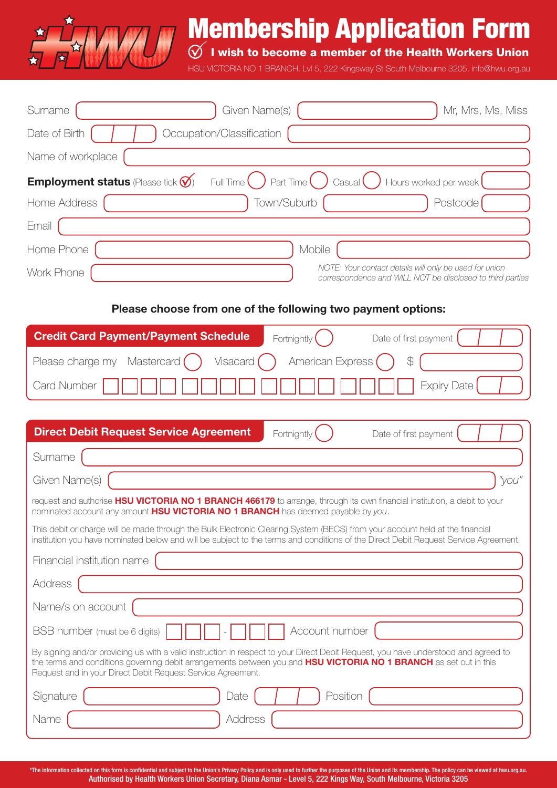

# Membership Application Form

 $\bigotimes$  I wish to become a member of the Health Workers Union

HSU VICTORIA NO 1 BRANCH. Lvl 5, 222 Kingsway St South Melbourne 3205. info@hwu.org.au

| Surname           | Given Name(s)                                                                                                                        | Mr, Mrs, Ms, Miss                                                                                                   |
|-------------------|--------------------------------------------------------------------------------------------------------------------------------------|---------------------------------------------------------------------------------------------------------------------|
| Date of Birth     | Occupation/Classification                                                                                                            |                                                                                                                     |
| Name of workplace |                                                                                                                                      |                                                                                                                     |
|                   | <b>Employment status</b> (Please tick $\bigotimes$ Full Time $\bigcirc$ Part Time $\bigcirc$ Casual $\bigcirc$ Hours worked per week |                                                                                                                     |
| Home Address      | Town/Suburb                                                                                                                          | Postcode                                                                                                            |
| Email             |                                                                                                                                      |                                                                                                                     |
| Home Phone        | Mobile                                                                                                                               |                                                                                                                     |
| Work Phone        |                                                                                                                                      | NOTE: Your contact details will only be used for union<br>correspondence and WILL NOT be disclosed to third parties |

## **Please choose from one of the following two payment options:**

| <b>Credit Card Payment/Payment Schedule</b>                                    | Fortnightly $\left( \quad \right)$<br>Date of first payment $\begin{pmatrix} 1 & 1 \\ 1 & 1 \end{pmatrix}$ |  |  |  |
|--------------------------------------------------------------------------------|------------------------------------------------------------------------------------------------------------|--|--|--|
| Please charge my Mastercard () Visacard () American Express () $\frac{1}{2}$ ( |                                                                                                            |  |  |  |
|                                                                                |                                                                                                            |  |  |  |

| <b>Direct Debit Request Service Agreement</b>                                                                                                                                                                                                                                                                          | Date of first payment<br>Fortnightly |  |  |
|------------------------------------------------------------------------------------------------------------------------------------------------------------------------------------------------------------------------------------------------------------------------------------------------------------------------|--------------------------------------|--|--|
| Surname                                                                                                                                                                                                                                                                                                                |                                      |  |  |
| Given Name(s)                                                                                                                                                                                                                                                                                                          | "you"                                |  |  |
| request and authorise HSU VICTORIA NO 1 BRANCH 466179 to arrange, through its own financial institution, a debit to your<br>nominated account any amount HSU VICTORIA NO 1 BRANCH has deemed payable by you.                                                                                                           |                                      |  |  |
| This debit or charge will be made through the Bulk Electronic Clearing System (BECS) from your account held at the financial<br>institution you have nominated below and will be subject to the terms and conditions of the Direct Debit Request Service Agreement.                                                    |                                      |  |  |
| Financial institution name                                                                                                                                                                                                                                                                                             |                                      |  |  |
| Address                                                                                                                                                                                                                                                                                                                |                                      |  |  |
| Name/s on account                                                                                                                                                                                                                                                                                                      |                                      |  |  |
| BSB number (must be 6 digits)                                                                                                                                                                                                                                                                                          | Account number                       |  |  |
| By signing and/or providing us with a valid instruction in respect to your Direct Debit Request, you have understood and agreed to<br>the terms and conditions governing debit arrangements between you and HSU VICTORIA NO 1 BRANCH as set out in this<br>Request and in your Direct Debit Request Service Agreement. |                                      |  |  |
| Signature<br>Date                                                                                                                                                                                                                                                                                                      | Position                             |  |  |
| <b>Address</b><br>Name                                                                                                                                                                                                                                                                                                 |                                      |  |  |